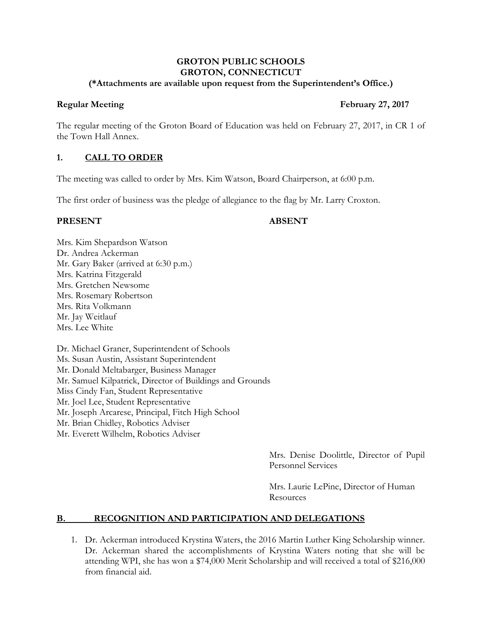#### **GROTON PUBLIC SCHOOLS GROTON, CONNECTICUT (\*Attachments are available upon request from the Superintendent's Office.)**

## **Regular Meeting February 27, 2017**

The regular meeting of the Groton Board of Education was held on February 27, 2017, in CR 1 of the Town Hall Annex.

## **1. CALL TO ORDER**

The meeting was called to order by Mrs. Kim Watson, Board Chairperson, at 6:00 p.m.

The first order of business was the pledge of allegiance to the flag by Mr. Larry Croxton.

### **PRESENT ABSENT**

Mrs. Kim Shepardson Watson Dr. Andrea Ackerman Mr. Gary Baker (arrived at 6:30 p.m.) Mrs. Katrina Fitzgerald Mrs. Gretchen Newsome Mrs. Rosemary Robertson Mrs. Rita Volkmann Mr. Jay Weitlauf Mrs. Lee White

Dr. Michael Graner, Superintendent of Schools Ms. Susan Austin, Assistant Superintendent Mr. Donald Meltabarger, Business Manager Mr. Samuel Kilpatrick, Director of Buildings and Grounds Miss Cindy Fan, Student Representative Mr. Joel Lee, Student Representative Mr. Joseph Arcarese, Principal, Fitch High School Mr. Brian Chidley, Robotics Adviser Mr. Everett Wilhelm, Robotics Adviser

> Mrs. Denise Doolittle, Director of Pupil Personnel Services

Mrs. Laurie LePine, Director of Human **Resources** 

# **B. RECOGNITION AND PARTICIPATION AND DELEGATIONS**

1. Dr. Ackerman introduced Krystina Waters, the 2016 Martin Luther King Scholarship winner. Dr. Ackerman shared the accomplishments of Krystina Waters noting that she will be attending WPI, she has won a \$74,000 Merit Scholarship and will received a total of \$216,000 from financial aid.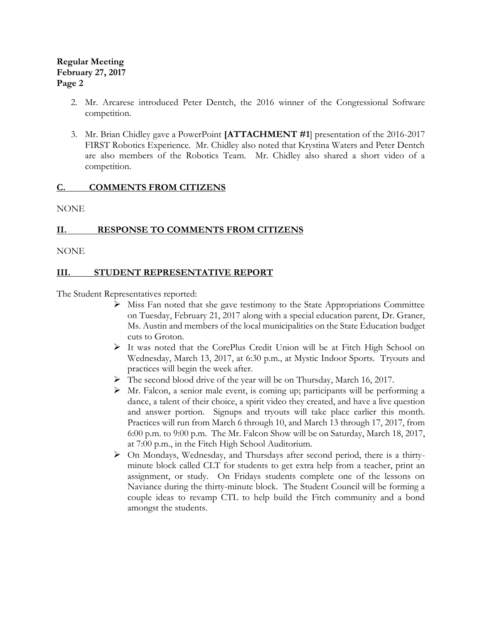- 2. Mr. Arcarese introduced Peter Dentch, the 2016 winner of the Congressional Software competition.
- 3. Mr. Brian Chidley gave a PowerPoint **[ATTACHMENT #1**] presentation of the 2016-2017 FIRST Robotics Experience. Mr. Chidley also noted that Krystina Waters and Peter Dentch are also members of the Robotics Team. Mr. Chidley also shared a short video of a competition.

## **C. COMMENTS FROM CITIZENS**

NONE

## **II. RESPONSE TO COMMENTS FROM CITIZENS**

NONE

## **III. STUDENT REPRESENTATIVE REPORT**

The Student Representatives reported:

- $\triangleright$  Miss Fan noted that she gave testimony to the State Appropriations Committee on Tuesday, February 21, 2017 along with a special education parent, Dr. Graner, Ms. Austin and members of the local municipalities on the State Education budget cuts to Groton.
- It was noted that the CorePlus Credit Union will be at Fitch High School on Wednesday, March 13, 2017, at 6:30 p.m., at Mystic Indoor Sports. Tryouts and practices will begin the week after.
- The second blood drive of the year will be on Thursday, March 16, 2017.
- $\triangleright$  Mr. Falcon, a senior male event, is coming up; participants will be performing a dance, a talent of their choice, a spirit video they created, and have a live question and answer portion. Signups and tryouts will take place earlier this month. Practices will run from March 6 through 10, and March 13 through 17, 2017, from 6:00 p.m. to 9:00 p.m. The Mr. Falcon Show will be on Saturday, March 18, 2017, at 7:00 p.m., in the Fitch High School Auditorium.
- $\triangleright$  On Mondays, Wednesday, and Thursdays after second period, there is a thirtyminute block called CLT for students to get extra help from a teacher, print an assignment, or study. On Fridays students complete one of the lessons on Naviance during the thirty-minute block. The Student Council will be forming a couple ideas to revamp CTL to help build the Fitch community and a bond amongst the students.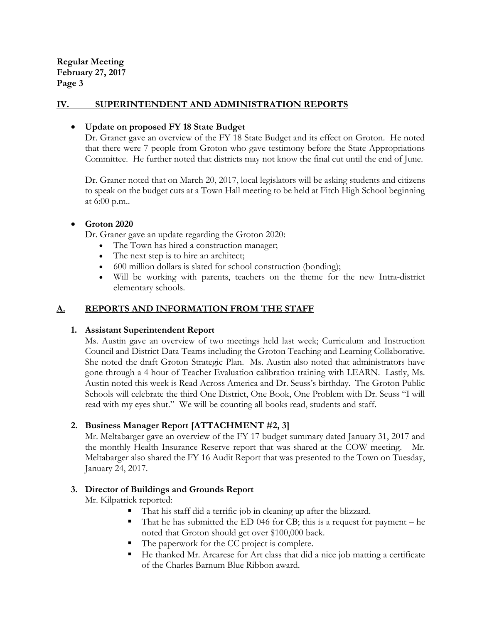## **IV. SUPERINTENDENT AND ADMINISTRATION REPORTS**

#### **Update on proposed FY 18 State Budget**

Dr. Graner gave an overview of the FY 18 State Budget and its effect on Groton. He noted that there were 7 people from Groton who gave testimony before the State Appropriations Committee. He further noted that districts may not know the final cut until the end of June.

Dr. Graner noted that on March 20, 2017, local legislators will be asking students and citizens to speak on the budget cuts at a Town Hall meeting to be held at Fitch High School beginning at 6:00 p.m..

#### **Groton 2020**

Dr. Graner gave an update regarding the Groton 2020:

- The Town has hired a construction manager;
- The next step is to hire an architect;
- 600 million dollars is slated for school construction (bonding);
- Will be working with parents, teachers on the theme for the new Intra-district elementary schools.

## **A. REPORTS AND INFORMATION FROM THE STAFF**

## **1. Assistant Superintendent Report**

Ms. Austin gave an overview of two meetings held last week; Curriculum and Instruction Council and District Data Teams including the Groton Teaching and Learning Collaborative. She noted the draft Groton Strategic Plan. Ms. Austin also noted that administrators have gone through a 4 hour of Teacher Evaluation calibration training with LEARN. Lastly, Ms. Austin noted this week is Read Across America and Dr. Seuss's birthday. The Groton Public Schools will celebrate the third One District, One Book, One Problem with Dr. Seuss "I will read with my eyes shut." We will be counting all books read, students and staff.

## **2. Business Manager Report [ATTACHMENT #2, 3]**

Mr. Meltabarger gave an overview of the FY 17 budget summary dated January 31, 2017 and the monthly Health Insurance Reserve report that was shared at the COW meeting. Mr. Meltabarger also shared the FY 16 Audit Report that was presented to the Town on Tuesday, January 24, 2017.

## **3. Director of Buildings and Grounds Report**

Mr. Kilpatrick reported:

- That his staff did a terrific job in cleaning up after the blizzard.
- That he has submitted the ED 046 for CB; this is a request for payment he noted that Groton should get over \$100,000 back.
- The paperwork for the CC project is complete.
- He thanked Mr. Arcarese for Art class that did a nice job matting a certificate of the Charles Barnum Blue Ribbon award.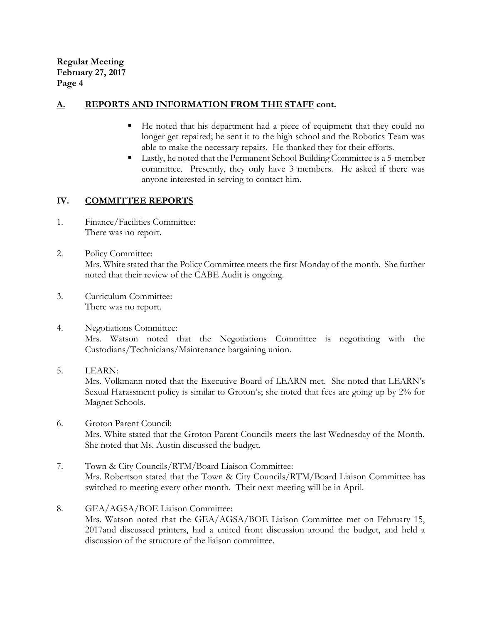## **A. REPORTS AND INFORMATION FROM THE STAFF cont.**

- He noted that his department had a piece of equipment that they could no longer get repaired; he sent it to the high school and the Robotics Team was able to make the necessary repairs. He thanked they for their efforts.
- Lastly, he noted that the Permanent School Building Committee is a 5-member committee. Presently, they only have 3 members. He asked if there was anyone interested in serving to contact him.

## **IV. COMMITTEE REPORTS**

- 1. Finance/Facilities Committee: There was no report.
- 2. Policy Committee: Mrs. White stated that the Policy Committee meets the first Monday of the month. She further noted that their review of the CABE Audit is ongoing.
- 3. Curriculum Committee: There was no report.
- 4. Negotiations Committee: Mrs. Watson noted that the Negotiations Committee is negotiating with the Custodians/Technicians/Maintenance bargaining union.
- 5. LEARN:

Mrs. Volkmann noted that the Executive Board of LEARN met. She noted that LEARN's Sexual Harassment policy is similar to Groton's; she noted that fees are going up by 2% for Magnet Schools.

- 6. Groton Parent Council: Mrs. White stated that the Groton Parent Councils meets the last Wednesday of the Month. She noted that Ms. Austin discussed the budget.
- 7. Town & City Councils/RTM/Board Liaison Committee: Mrs. Robertson stated that the Town & City Councils/RTM/Board Liaison Committee has switched to meeting every other month. Their next meeting will be in April.
- 8. GEA/AGSA/BOE Liaison Committee: Mrs. Watson noted that the GEA/AGSA/BOE Liaison Committee met on February 15, 2017and discussed printers, had a united front discussion around the budget, and held a discussion of the structure of the liaison committee.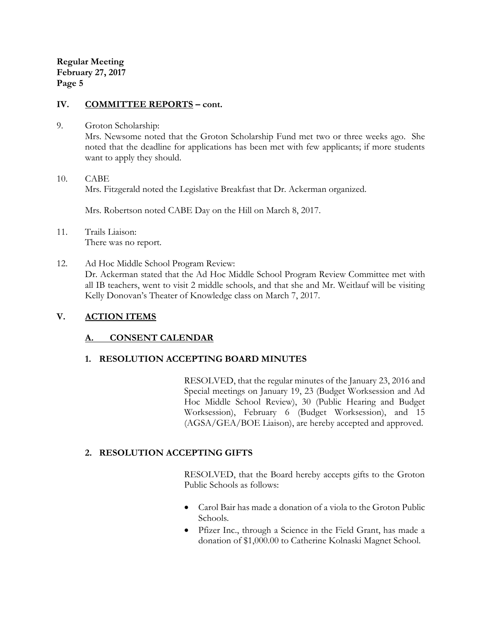#### **IV. COMMITTEE REPORTS – cont.**

9. Groton Scholarship:

Mrs. Newsome noted that the Groton Scholarship Fund met two or three weeks ago. She noted that the deadline for applications has been met with few applicants; if more students want to apply they should.

10. CABE Mrs. Fitzgerald noted the Legislative Breakfast that Dr. Ackerman organized.

Mrs. Robertson noted CABE Day on the Hill on March 8, 2017.

- 11. Trails Liaison: There was no report.
- 12. Ad Hoc Middle School Program Review: Dr. Ackerman stated that the Ad Hoc Middle School Program Review Committee met with all IB teachers, went to visit 2 middle schools, and that she and Mr. Weitlauf will be visiting Kelly Donovan's Theater of Knowledge class on March 7, 2017.

## **V. ACTION ITEMS**

## **A. CONSENT CALENDAR**

## **1. RESOLUTION ACCEPTING BOARD MINUTES**

RESOLVED, that the regular minutes of the January 23, 2016 and Special meetings on January 19, 23 (Budget Worksession and Ad Hoc Middle School Review), 30 (Public Hearing and Budget Worksession), February 6 (Budget Worksession), and 15 (AGSA/GEA/BOE Liaison), are hereby accepted and approved.

## **2. RESOLUTION ACCEPTING GIFTS**

RESOLVED, that the Board hereby accepts gifts to the Groton Public Schools as follows:

- Carol Bair has made a donation of a viola to the Groton Public Schools.
- Pfizer Inc., through a Science in the Field Grant, has made a donation of \$1,000.00 to Catherine Kolnaski Magnet School.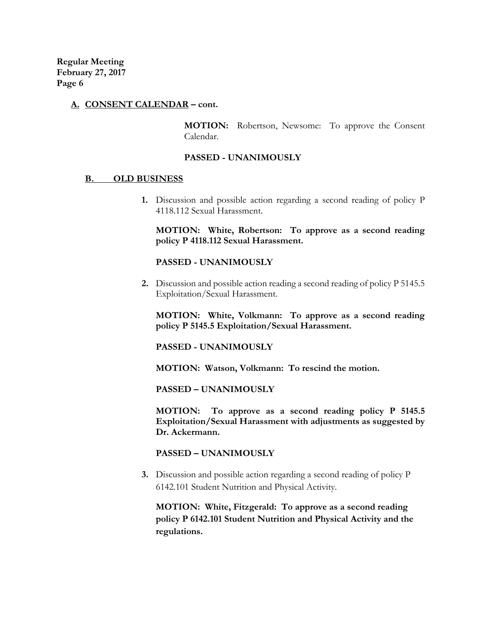#### **A. CONSENT CALENDAR – cont.**

**MOTION:** Robertson, Newsome: To approve the Consent Calendar.

#### **PASSED - UNANIMOUSLY**

#### **B. OLD BUSINESS**

**1.** Discussion and possible action regarding a second reading of policy P 4118.112 Sexual Harassment.

**MOTION: White, Robertson: To approve as a second reading policy P 4118.112 Sexual Harassment.**

#### **PASSED - UNANIMOUSLY**

**2.** Discussion and possible action reading a second reading of policy P 5145.5 Exploitation/Sexual Harassment.

**MOTION: White, Volkmann: To approve as a second reading policy P 5145.5 Exploitation/Sexual Harassment.**

**PASSED - UNANIMOUSLY**

**MOTION: Watson, Volkmann: To rescind the motion.**

**PASSED – UNANIMOUSLY**

**MOTION: To approve as a second reading policy P 5145.5 Exploitation/Sexual Harassment with adjustments as suggested by Dr. Ackermann.**

#### **PASSED – UNANIMOUSLY**

**3.** Discussion and possible action regarding a second reading of policy P 6142.101 Student Nutrition and Physical Activity.

**MOTION: White, Fitzgerald: To approve as a second reading policy P 6142.101 Student Nutrition and Physical Activity and the regulations.**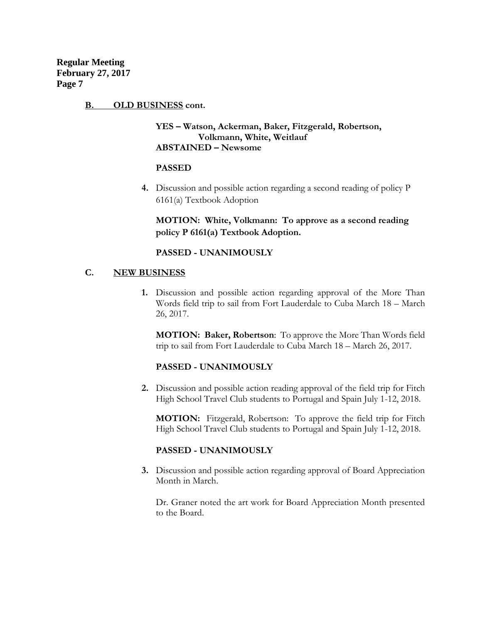#### **B. OLD BUSINESS cont.**

## **YES – Watson, Ackerman, Baker, Fitzgerald, Robertson, Volkmann, White, Weitlauf ABSTAINED – Newsome**

#### **PASSED**

**4.** Discussion and possible action regarding a second reading of policy P 6161(a) Textbook Adoption

**MOTION: White, Volkmann: To approve as a second reading policy P 6161(a) Textbook Adoption.**

#### **PASSED - UNANIMOUSLY**

#### **C. NEW BUSINESS**

**1.** Discussion and possible action regarding approval of the More Than Words field trip to sail from Fort Lauderdale to Cuba March 18 – March 26, 2017.

**MOTION: Baker, Robertson**: To approve the More Than Words field trip to sail from Fort Lauderdale to Cuba March 18 – March 26, 2017.

#### **PASSED - UNANIMOUSLY**

**2.** Discussion and possible action reading approval of the field trip for Fitch High School Travel Club students to Portugal and Spain July 1-12, 2018.

**MOTION:** Fitzgerald, Robertson: To approve the field trip for Fitch High School Travel Club students to Portugal and Spain July 1-12, 2018.

#### **PASSED - UNANIMOUSLY**

**3.** Discussion and possible action regarding approval of Board Appreciation Month in March.

Dr. Graner noted the art work for Board Appreciation Month presented to the Board.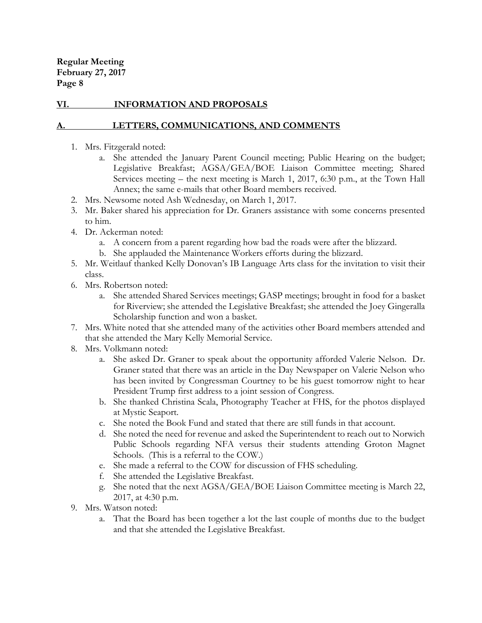## **VI. INFORMATION AND PROPOSALS**

## **LETTERS, COMMUNICATIONS, AND COMMENTS**

- 1. Mrs. Fitzgerald noted:
	- a. She attended the January Parent Council meeting; Public Hearing on the budget; Legislative Breakfast; AGSA/GEA/BOE Liaison Committee meeting; Shared Services meeting – the next meeting is March 1, 2017, 6:30 p.m., at the Town Hall Annex; the same e-mails that other Board members received.
- 2. Mrs. Newsome noted Ash Wednesday, on March 1, 2017.
- 3. Mr. Baker shared his appreciation for Dr. Graners assistance with some concerns presented to him.
- 4. Dr. Ackerman noted:
	- a. A concern from a parent regarding how bad the roads were after the blizzard.
	- b. She applauded the Maintenance Workers efforts during the blizzard.
- 5. Mr. Weitlauf thanked Kelly Donovan's IB Language Arts class for the invitation to visit their class.
- 6. Mrs. Robertson noted:
	- a. She attended Shared Services meetings; GASP meetings; brought in food for a basket for Riverview; she attended the Legislative Breakfast; she attended the Joey Gingeralla Scholarship function and won a basket.
- 7. Mrs. White noted that she attended many of the activities other Board members attended and that she attended the Mary Kelly Memorial Service.
- 8. Mrs. Volkmann noted:
	- a. She asked Dr. Graner to speak about the opportunity afforded Valerie Nelson. Dr. Graner stated that there was an article in the Day Newspaper on Valerie Nelson who has been invited by Congressman Courtney to be his guest tomorrow night to hear President Trump first address to a joint session of Congress.
	- b. She thanked Christina Scala, Photography Teacher at FHS, for the photos displayed at Mystic Seaport.
	- c. She noted the Book Fund and stated that there are still funds in that account.
	- d. She noted the need for revenue and asked the Superintendent to reach out to Norwich Public Schools regarding NFA versus their students attending Groton Magnet Schools. (This is a referral to the COW.)
	- e. She made a referral to the COW for discussion of FHS scheduling.
	- f. She attended the Legislative Breakfast.
	- g. She noted that the next AGSA/GEA/BOE Liaison Committee meeting is March 22, 2017, at 4:30 p.m.
- 9. Mrs. Watson noted:
	- a. That the Board has been together a lot the last couple of months due to the budget and that she attended the Legislative Breakfast.